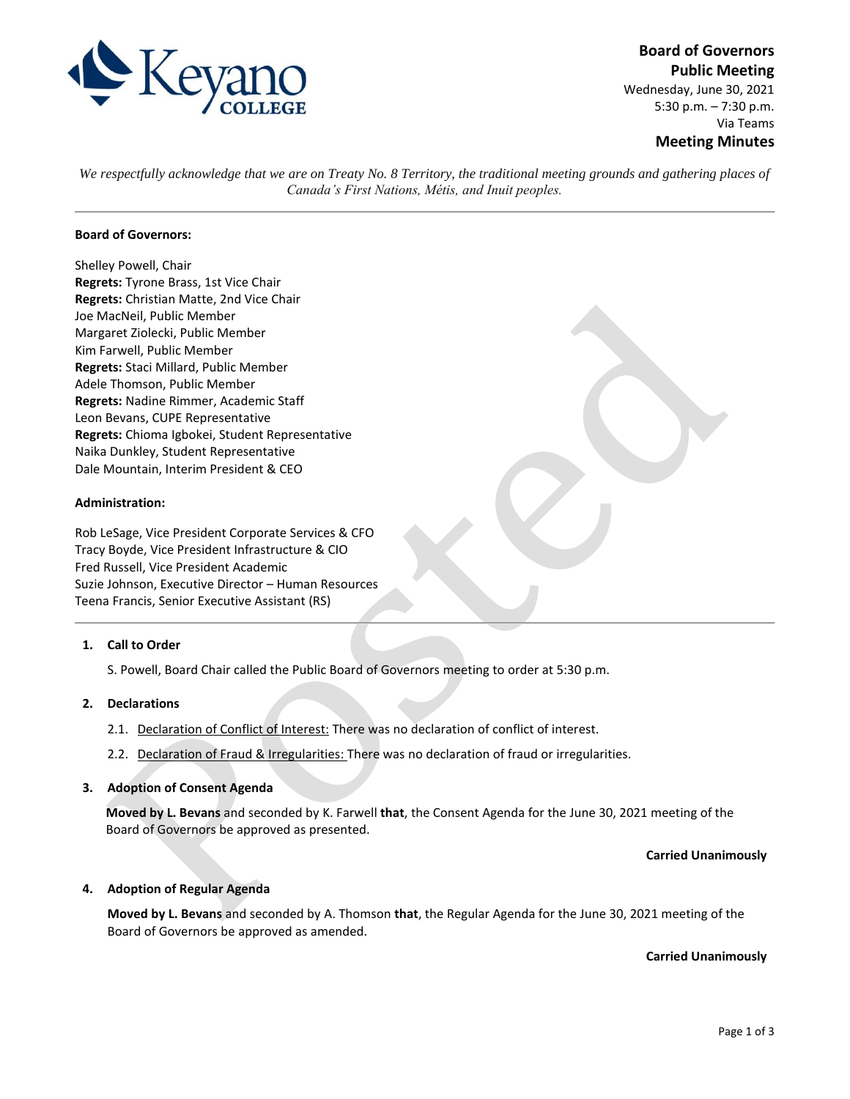

**Board of Governors Public Meeting** Wednesday, June 30, 2021 5:30 p.m. – 7:30 p.m. Via Teams **Meeting Minutes**

*We respectfully acknowledge that we are on Treaty No. 8 Territory, the traditional meeting grounds and gathering places of Canada's First Nations, Métis, and Inuit peoples.*

### **Board of Governors:**

Shelley Powell, Chair **Regrets:** Tyrone Brass, 1st Vice Chair **Regrets:** Christian Matte, 2nd Vice Chair Joe MacNeil, Public Member Margaret Ziolecki, Public Member Kim Farwell, Public Member **Regrets:** Staci Millard, Public Member Adele Thomson, Public Member **Regrets:** Nadine Rimmer, Academic Staff Leon Bevans, CUPE Representative **Regrets:** Chioma Igbokei, Student Representative Naika Dunkley, Student Representative Dale Mountain, Interim President & CEO

#### **Administration:**

Rob LeSage, Vice President Corporate Services & CFO Tracy Boyde, Vice President Infrastructure & CIO Fred Russell, Vice President Academic Suzie Johnson, Executive Director – Human Resources Teena Francis, Senior Executive Assistant (RS)

### **1. Call to Order**

S. Powell, Board Chair called the Public Board of Governors meeting to order at 5:30 p.m.

#### **2. Declarations**

- 2.1. Declaration of Conflict of Interest: There was no declaration of conflict of interest.
- 2.2. Declaration of Fraud & Irregularities: There was no declaration of fraud or irregularities.

#### **3. Adoption of Consent Agenda**

**Moved by L. Bevans** and seconded by K. Farwell **that**, the Consent Agenda for the June 30, 2021 meeting of the Board of Governors be approved as presented.

#### **Carried Unanimously**

#### **4. Adoption of Regular Agenda**

**Moved by L. Bevans** and seconded by A. Thomson **that**, the Regular Agenda for the June 30, 2021 meeting of the Board of Governors be approved as amended.

**Carried Unanimously**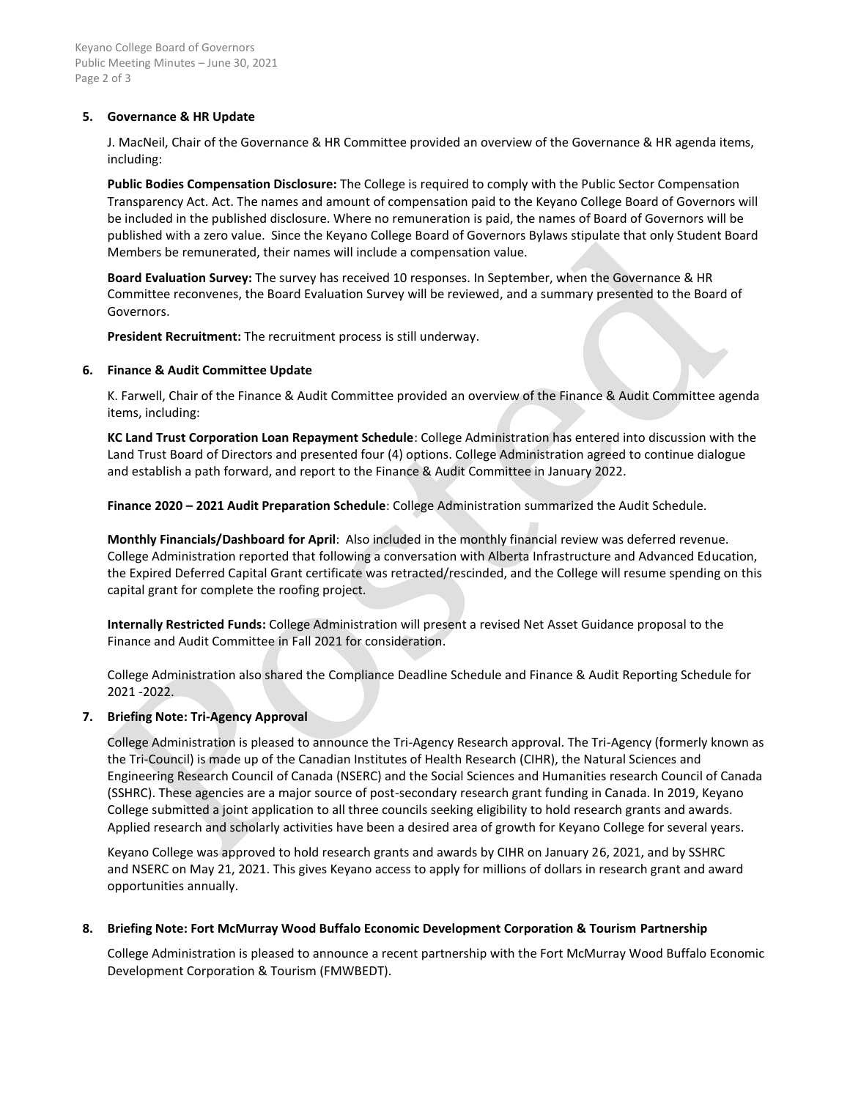Keyano College Board of Governors Public Meeting Minutes – June 30, 2021 Page 2 of 3

## **5. Governance & HR Update**

J. MacNeil, Chair of the Governance & HR Committee provided an overview of the Governance & HR agenda items, including:

**Public Bodies Compensation Disclosure:** The College is required to comply with the Public Sector Compensation Transparency Act. Act. The names and amount of compensation paid to the Keyano College Board of Governors will be included in the published disclosure. Where no remuneration is paid, the names of Board of Governors will be published with a zero value. Since the Keyano College Board of Governors Bylaws stipulate that only Student Board Members be remunerated, their names will include a compensation value.

**Board Evaluation Survey:** The survey has received 10 responses. In September, when the Governance & HR Committee reconvenes, the Board Evaluation Survey will be reviewed, and a summary presented to the Board of Governors.

**President Recruitment:** The recruitment process is still underway.

## **6. Finance & Audit Committee Update**

K. Farwell, Chair of the Finance & Audit Committee provided an overview of the Finance & Audit Committee agenda items, including:

**KC Land Trust Corporation Loan Repayment Schedule**: College Administration has entered into discussion with the Land Trust Board of Directors and presented four (4) options. College Administration agreed to continue dialogue and establish a path forward, and report to the Finance & Audit Committee in January 2022.

**Finance 2020 – 2021 Audit Preparation Schedule**: College Administration summarized the Audit Schedule.

**Monthly Financials/Dashboard for April**: Also included in the monthly financial review was deferred revenue. College Administration reported that following a conversation with Alberta Infrastructure and Advanced Education, the Expired Deferred Capital Grant certificate was retracted/rescinded, and the College will resume spending on this capital grant for complete the roofing project.

**Internally Restricted Funds:** College Administration will present a revised Net Asset Guidance proposal to the Finance and Audit Committee in Fall 2021 for consideration.

College Administration also shared the Compliance Deadline Schedule and Finance & Audit Reporting Schedule for 2021 -2022.

# **7. Briefing Note: Tri-Agency Approval**

College Administration is pleased to announce the Tri-Agency Research approval. The Tri-Agency (formerly known as the Tri-Council) is made up of the Canadian Institutes of Health Research (CIHR), the Natural Sciences and Engineering Research Council of Canada (NSERC) and the Social Sciences and Humanities research Council of Canada (SSHRC). These agencies are a major source of post-secondary research grant funding in Canada. In 2019, Keyano College submitted a joint application to all three councils seeking eligibility to hold research grants and awards. Applied research and scholarly activities have been a desired area of growth for Keyano College for several years.

Keyano College was approved to hold research grants and awards by CIHR on January 26, 2021, and by SSHRC and NSERC on May 21, 2021. This gives Keyano access to apply for millions of dollars in research grant and award opportunities annually.

# **8. Briefing Note: Fort McMurray Wood Buffalo Economic Development Corporation & Tourism Partnership**

College Administration is pleased to announce a recent partnership with the Fort McMurray Wood Buffalo Economic Development Corporation & Tourism (FMWBEDT).